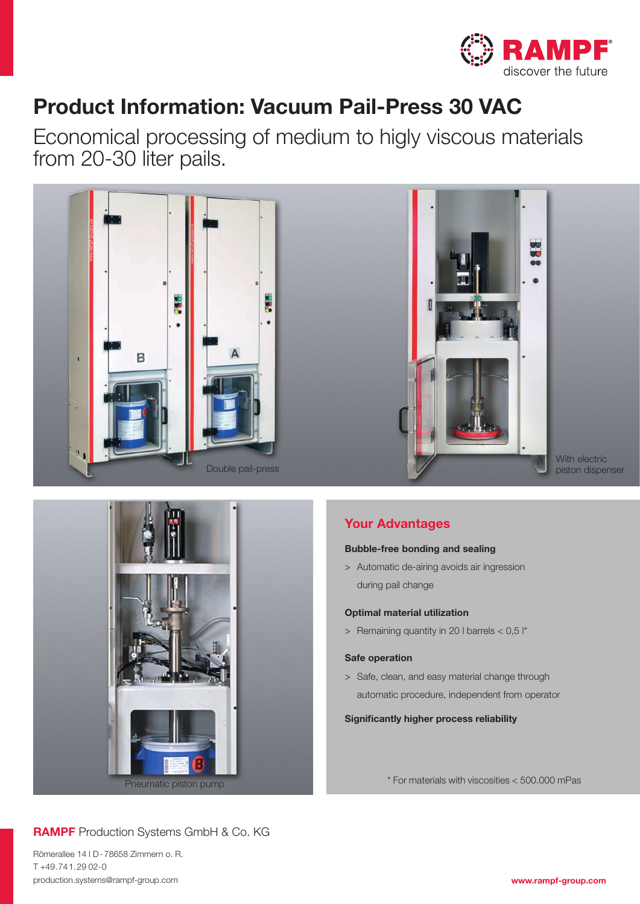

## Product Information: Vacuum Pail-Press 30 VAC

Economical processing of medium to higly viscous materials from 20-30 liter pails.





## Your Advantages

#### Bubble-free bonding and sealing

> Automatic de-airing avoids air ingression during pail change

#### Optimal material utilization

> Remaining quantity in 20 I barrels  $< 0.5$  I<sup>\*</sup>

#### Safe operation

> Safe, clean, and easy material change through automatic procedure, independent from operator

#### Significantly higher process reliability

\* For materials with viscosities < 500.000 mPas

## RAMPF Production Systems GmbH & Co. KG

Römerallee 14 l D-78658 Zimmern o. R. T +49.741.29 02-0 production.systems@rampf-group.com